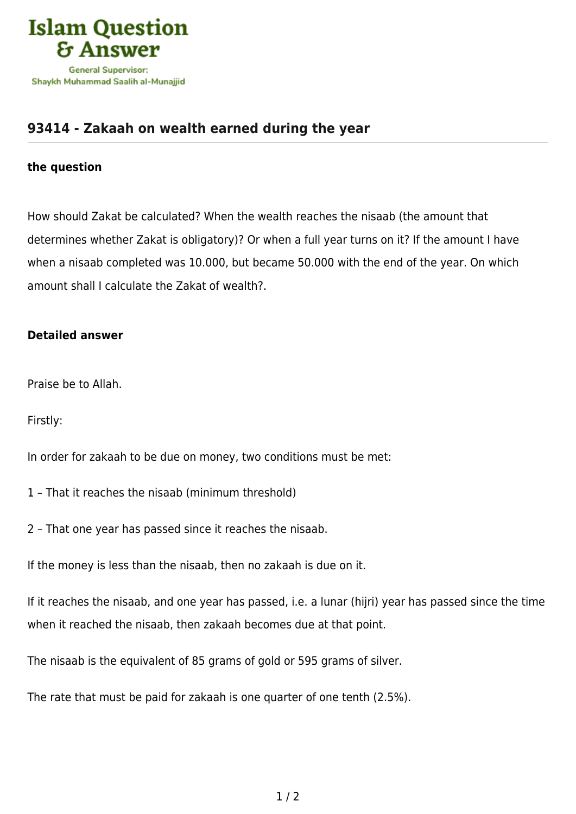

## **[93414 - Zakaah on wealth earned during the year](https://islamqa.com/en/answers/93414/zakaah-on-wealth-earned-during-the-year)**

## **the question**

How should Zakat be calculated? When the wealth reaches the nisaab (the amount that determines whether Zakat is obligatory)? Or when a full year turns on it? If the amount I have when a nisaab completed was 10.000, but became 50.000 with the end of the year. On which amount shall I calculate the Zakat of wealth?.

## **Detailed answer**

Praise be to Allah.

Firstly:

In order for zakaah to be due on money, two conditions must be met:

- 1 That it reaches the nisaab (minimum threshold)
- 2 That one year has passed since it reaches the nisaab.

If the money is less than the nisaab, then no zakaah is due on it.

If it reaches the nisaab, and one year has passed, i.e. a lunar (hijri) year has passed since the time when it reached the nisaab, then zakaah becomes due at that point.

The nisaab is the equivalent of 85 grams of gold or 595 grams of silver.

The rate that must be paid for zakaah is one quarter of one tenth (2.5%).